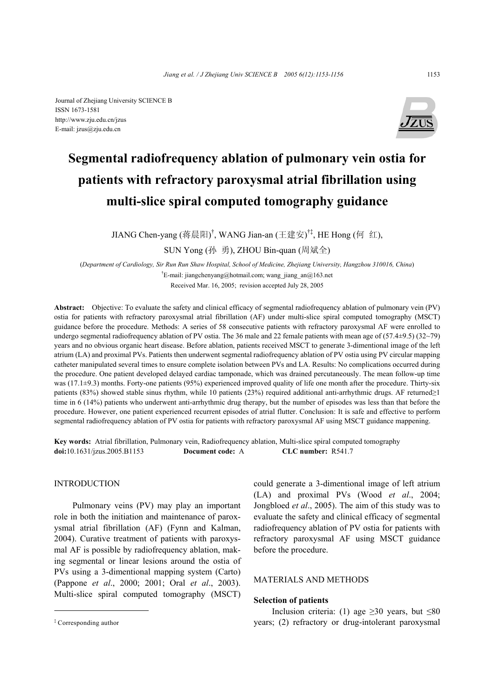Journal of Zhejiang University SCIENCE B ISSN 1673-1581 http://www.zju.edu.cn/jzus E-mail: jzus@zju.edu.cn



# **Segmental radiofrequency ablation of pulmonary vein ostia for patients with refractory paroxysmal atrial fibrillation using multi-slice spiral computed tomography guidance**

JIANG Chen-yang (蒋晨阳)<sup>†</sup>, WANG Jian-an (王建安)<sup>†‡</sup>, HE Hong (何 红),

SUN Yong (孙 勇), ZHOU Bin-quan (周斌全)

(*Department of Cardiology, Sir Run Run Shaw Hospital, School of Medicine, Zhejiang University, Hangzhou 310016, China*) <sup>†</sup>E-mail: jiangchenyang@hotmail.com; wang\_jiang\_an@163.net Received Mar. 16, 2005; revision accepted July 28, 2005

**Abstract:** Objective: To evaluate the safety and clinical efficacy of segmental radiofrequency ablation of pulmonary vein (PV) ostia for patients with refractory paroxysmal atrial fibrillation (AF) under multi-slice spiral computed tomography (MSCT) guidance before the procedure. Methods: A series of 58 consecutive patients with refractory paroxysmal AF were enrolled to undergo segmental radiofrequency ablation of PV ostia. The 36 male and 22 female patients with mean age of  $(57.4\pm9.5)$   $(32\sim79)$ years and no obvious organic heart disease. Before ablation, patients received MSCT to generate 3-dimentional image of the left atrium (LA) and proximal PVs. Patients then underwent segmental radiofrequency ablation of PV ostia using PV circular mapping catheter manipulated several times to ensure complete isolation between PVs and LA. Results: No complications occurred during the procedure. One patient developed delayed cardiac tamponade, which was drained percutaneously. The mean follow-up time was (17.1±9.3) months. Forty-one patients (95%) experienced improved quality of life one month after the procedure. Thirty-six patients (83%) showed stable sinus rhythm, while 10 patients (23%) required additional anti-arrhythmic drugs. AF returned≥1 time in 6 (14%) patients who underwent anti-arrhythmic drug therapy, but the number of episodes was less than that before the procedure. However, one patient experienced recurrent episodes of atrial flutter. Conclusion: It is safe and effective to perform segmental radiofrequency ablation of PV ostia for patients with refractory paroxysmal AF using MSCT guidance mappening.

**Key words:** Atrial fibrillation, Pulmonary vein, Radiofrequency ablation, Multi-slice spiral computed tomography **doi:**10.1631/jzus.2005.B1153 **Document code:** A **CLC number:** R541.7

### INTRODUCTION

Pulmonary veins (PV) may play an important role in both the initiation and maintenance of paroxysmal atrial fibrillation (AF) (Fynn and Kalman, 2004). Curative treatment of patients with paroxysmal AF is possible by radiofrequency ablation, making segmental or linear lesions around the ostia of PVs using a 3-dimentional mapping system (Carto) (Pappone *et al*., 2000; 2001; Oral *et al*., 2003). Multi-slice spiral computed tomography (MSCT)

could generate a 3-dimentional image of left atrium (LA) and proximal PVs (Wood *et al*., 2004; Jongbloed *et al*., 2005). The aim of this study was to evaluate the safety and clinical efficacy of segmental radiofrequency ablation of PV ostia for patients with refractory paroxysmal AF using MSCT guidance before the procedure.

# MATERIALS AND METHODS

### **Selection of patients**

Inclusion criteria: (1) age  $\geq 30$  years, but  $\leq 80$ years; (2) refractory or drug-intolerant paroxysmal

<sup>‡</sup> Corresponding author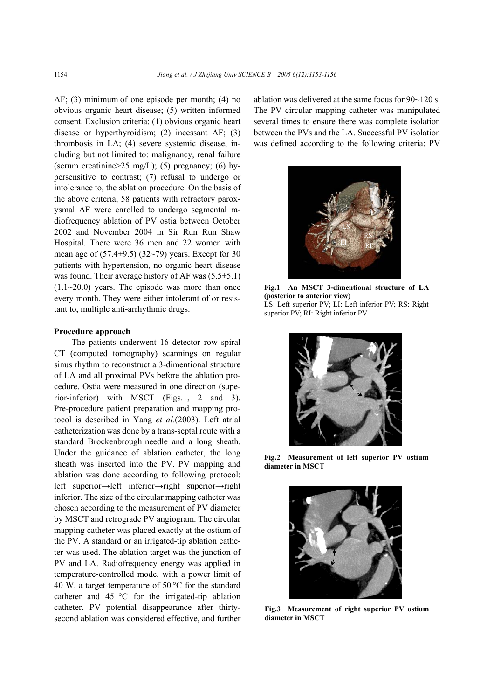AF; (3) minimum of one episode per month; (4) no obvious organic heart disease; (5) written informed consent. Exclusion criteria: (1) obvious organic heart disease or hyperthyroidism; (2) incessant AF; (3) thrombosis in LA; (4) severe systemic disease, including but not limited to: malignancy, renal failure (serum creatinine> $25 \text{ mg/L}$ ); (5) pregnancy; (6) hypersensitive to contrast; (7) refusal to undergo or intolerance to, the ablation procedure. On the basis of the above criteria, 58 patients with refractory paroxysmal AF were enrolled to undergo segmental radiofrequency ablation of PV ostia between October 2002 and November 2004 in Sir Run Run Shaw Hospital. There were 36 men and 22 women with mean age of  $(57.4\pm9.5)$   $(32\sim79)$  years. Except for 30 patients with hypertension, no organic heart disease was found. Their average history of AF was  $(5.5\pm5.1)$  $(1.1~20.0)$  years. The episode was more than once every month. They were either intolerant of or resistant to, multiple anti-arrhythmic drugs.

#### **Procedure approach**

The patients underwent 16 detector row spiral CT (computed tomography) scannings on regular sinus rhythm to reconstruct a 3-dimentional structure of LA and all proximal PVs before the ablation procedure. Ostia were measured in one direction (superior-inferior) with MSCT (Figs.1, 2 and 3). Pre-procedure patient preparation and mapping protocol is described in Yang *et al*.(2003). Left atrial catheterization was done by a trans-septal route with a standard Brockenbrough needle and a long sheath. Under the guidance of ablation catheter, the long sheath was inserted into the PV. PV mapping and ablation was done according to following protocol: left superior→left inferior→right superior→right inferior. The size of the circular mapping catheter was chosen according to the measurement of PV diameter by MSCT and retrograde PV angiogram. The circular mapping catheter was placed exactly at the ostium of the PV. A standard or an irrigated-tip ablation catheter was used. The ablation target was the junction of PV and LA. Radiofrequency energy was applied in temperature-controlled mode, with a power limit of 40 W, a target temperature of 50  $^{\circ}$ C for the standard catheter and 45 °C for the irrigated-tip ablation catheter. PV potential disappearance after thirtysecond ablation was considered effective, and further ablation was delivered at the same focus for 90~120 s. The PV circular mapping catheter was manipulated several times to ensure there was complete isolation between the PVs and the LA. Successful PV isolation was defined according to the following criteria: PV



**Fig.1 An MSCT 3-dimentional structure of LA (posterior to anterior view)**  LS: Left superior PV; LI: Left inferior PV; RS: Right superior PV; RI: Right inferior PV



**Fig.2 Measurement of left superior PV ostium diameter in MSCT**



**Fig.3 Measurement of right superior PV ostium diameter in MSCT**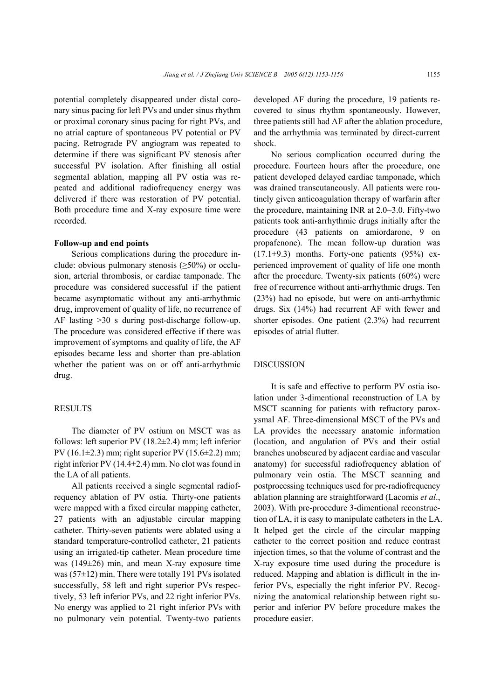potential completely disappeared under distal coronary sinus pacing for left PVs and under sinus rhythm or proximal coronary sinus pacing for right PVs, and no atrial capture of spontaneous PV potential or PV pacing. Retrograde PV angiogram was repeated to determine if there was significant PV stenosis after successful PV isolation. After finishing all ostial segmental ablation, mapping all PV ostia was repeated and additional radiofrequency energy was delivered if there was restoration of PV potential. Both procedure time and X-ray exposure time were recorded.

#### **Follow-up and end points**

Serious complications during the procedure include: obvious pulmonary stenosis  $(\geq 50\%)$  or occlusion, arterial thrombosis, or cardiac tamponade. The procedure was considered successful if the patient became asymptomatic without any anti-arrhythmic drug, improvement of quality of life, no recurrence of AF lasting >30 s during post-discharge follow-up. The procedure was considered effective if there was improvement of symptoms and quality of life, the AF episodes became less and shorter than pre-ablation whether the patient was on or off anti-arrhythmic drug.

## **RESULTS**

The diameter of PV ostium on MSCT was as follows: left superior PV (18.2±2.4) mm; left inferior PV (16.1 $\pm$ 2.3) mm; right superior PV (15.6 $\pm$ 2.2) mm; right inferior PV (14.4 $\pm$ 2.4) mm. No clot was found in the LA of all patients.

All patients received a single segmental radiofrequency ablation of PV ostia. Thirty-one patients were mapped with a fixed circular mapping catheter, 27 patients with an adjustable circular mapping catheter. Thirty-seven patients were ablated using a standard temperature-controlled catheter, 21 patients using an irrigated-tip catheter. Mean procedure time was (149±26) min, and mean X-ray exposure time was (57±12) min. There were totally 191 PVs isolated successfully, 58 left and right superior PVs respectively, 53 left inferior PVs, and 22 right inferior PVs. No energy was applied to 21 right inferior PVs with no pulmonary vein potential. Twenty-two patients developed AF during the procedure, 19 patients recovered to sinus rhythm spontaneously. However, three patients still had AF after the ablation procedure, and the arrhythmia was terminated by direct-current shock.

No serious complication occurred during the procedure. Fourteen hours after the procedure, one patient developed delayed cardiac tamponade, which was drained transcutaneously. All patients were routinely given anticoagulation therapy of warfarin after the procedure, maintaining INR at 2.0~3.0. Fifty-two patients took anti-arrhythmic drugs initially after the procedure (43 patients on amiordarone, 9 on propafenone). The mean follow-up duration was  $(17.1\pm9.3)$  months. Forty-one patients  $(95\%)$  experienced improvement of quality of life one month after the procedure. Twenty-six patients (60%) were free of recurrence without anti-arrhythmic drugs. Ten (23%) had no episode, but were on anti-arrhythmic drugs. Six (14%) had recurrent AF with fewer and shorter episodes. One patient (2.3%) had recurrent episodes of atrial flutter.

#### **DISCUSSION**

It is safe and effective to perform PV ostia isolation under 3-dimentional reconstruction of LA by MSCT scanning for patients with refractory paroxysmal AF. Three-dimensional MSCT of the PVs and LA provides the necessary anatomic information (location, and angulation of PVs and their ostial branches unobscured by adjacent cardiac and vascular anatomy) for successful radiofrequency ablation of pulmonary vein ostia. The MSCT scanning and postprocessing techniques used for pre-radiofrequency ablation planning are straightforward (Lacomis *et al*., 2003). With pre-procedure 3-dimentional reconstruction of LA, it is easy to manipulate catheters in the LA. It helped get the circle of the circular mapping catheter to the correct position and reduce contrast injection times, so that the volume of contrast and the X-ray exposure time used during the procedure is reduced. Mapping and ablation is difficult in the inferior PVs, especially the right inferior PV. Recognizing the anatomical relationship between right superior and inferior PV before procedure makes the procedure easier.